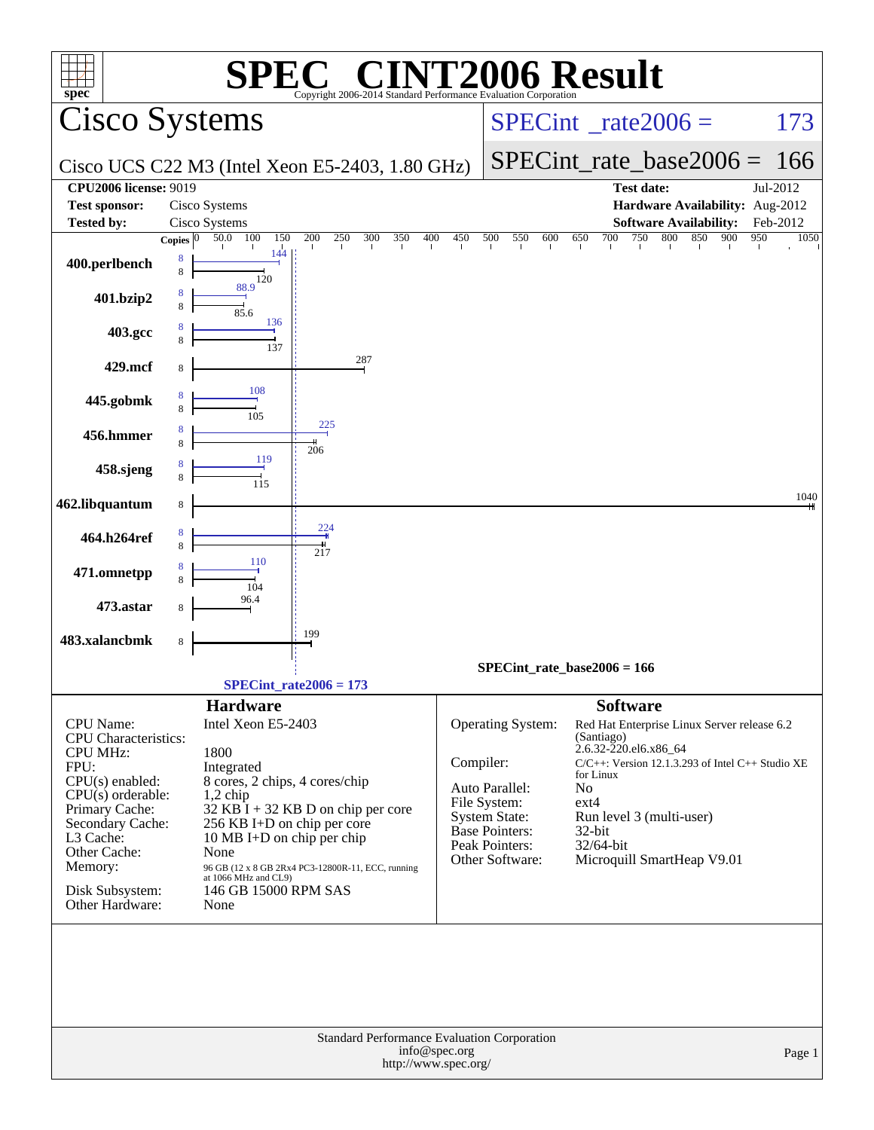| <b>EC® CINT2006 Result</b><br>$spec^*$<br>Copyright 2006-2014 Standard Performance Evaluation Corporation |                                                                          |                                        |                                               |                                                                    |             |  |  |  |
|-----------------------------------------------------------------------------------------------------------|--------------------------------------------------------------------------|----------------------------------------|-----------------------------------------------|--------------------------------------------------------------------|-------------|--|--|--|
| Cisco Systems                                                                                             |                                                                          | $SPECint^{\circ}$ rate $2006 =$<br>173 |                                               |                                                                    |             |  |  |  |
|                                                                                                           | Cisco UCS C22 M3 (Intel Xeon E5-2403, 1.80 GHz)                          | $SPECint_rate_base2006 = 166$          |                                               |                                                                    |             |  |  |  |
| <b>CPU2006 license: 9019</b>                                                                              |                                                                          |                                        |                                               | <b>Test date:</b>                                                  | Jul-2012    |  |  |  |
| <b>Test sponsor:</b>                                                                                      | Cisco Systems                                                            |                                        |                                               | Hardware Availability: Aug-2012                                    |             |  |  |  |
| <b>Tested by:</b>                                                                                         | Cisco Systems                                                            |                                        |                                               | <b>Software Availability:</b>                                      | Feb-2012    |  |  |  |
|                                                                                                           | 300<br>400<br>50.0 100<br>250<br>350<br>150<br>200<br>Copies $\boxed{0}$ | 450                                    | 500<br>550<br>600                             | 750 800<br>850<br>900<br>650<br>700                                | 950<br>1050 |  |  |  |
| 400.perlbench                                                                                             | 144<br>120                                                               |                                        |                                               |                                                                    |             |  |  |  |
| 401.bzip2                                                                                                 | 88.9<br>85.6                                                             |                                        |                                               |                                                                    |             |  |  |  |
| 403.gcc                                                                                                   | 136<br>137                                                               |                                        |                                               |                                                                    |             |  |  |  |
| 429.mcf                                                                                                   | 287                                                                      |                                        |                                               |                                                                    |             |  |  |  |
| 445.gobmk                                                                                                 | 108                                                                      |                                        |                                               |                                                                    |             |  |  |  |
| 456.hmmer                                                                                                 | 225                                                                      |                                        |                                               |                                                                    |             |  |  |  |
| 458.sjeng                                                                                                 | 206<br>119                                                               |                                        |                                               |                                                                    |             |  |  |  |
| 462.libquantum                                                                                            |                                                                          |                                        |                                               |                                                                    | 1040        |  |  |  |
| 464.h264ref                                                                                               | 224                                                                      |                                        |                                               |                                                                    |             |  |  |  |
| 471.omnetpp                                                                                               | 217<br>110                                                               |                                        |                                               |                                                                    |             |  |  |  |
| 473.astar                                                                                                 | 104<br>96.4                                                              |                                        |                                               |                                                                    |             |  |  |  |
| 483.xalancbmk                                                                                             | 199<br>8                                                                 |                                        |                                               |                                                                    |             |  |  |  |
|                                                                                                           |                                                                          |                                        |                                               | SPECint rate base $2006 = 166$                                     |             |  |  |  |
|                                                                                                           | SPECint rate $2006 = 173$                                                |                                        |                                               |                                                                    |             |  |  |  |
|                                                                                                           | <b>Hardware</b>                                                          |                                        |                                               | <b>Software</b>                                                    |             |  |  |  |
| <b>CPU</b> Name:                                                                                          | Intel Xeon E5-2403                                                       |                                        | Operating System:                             | Red Hat Enterprise Linux Server release 6.2<br>(Santiago)          |             |  |  |  |
| CPU Characteristics:<br><b>CPU MHz:</b>                                                                   | 1800                                                                     |                                        |                                               | 2.6.32-220.el6.x86_64                                              |             |  |  |  |
| FPU:                                                                                                      | Integrated                                                               | Compiler:                              |                                               | $C/C++$ : Version 12.1.3.293 of Intel $C++$ Studio XE<br>for Linux |             |  |  |  |
| $CPU(s)$ enabled:<br>$CPU(s)$ orderable:                                                                  | 8 cores, 2 chips, 4 cores/chip<br>$1,2$ chip                             |                                        | Auto Parallel:                                | No                                                                 |             |  |  |  |
| Primary Cache:                                                                                            | $32$ KB I + 32 KB D on chip per core                                     |                                        | File System:                                  | $ext{4}$                                                           |             |  |  |  |
| Secondary Cache:                                                                                          | 256 KB I+D on chip per core                                              |                                        | <b>System State:</b><br><b>Base Pointers:</b> | Run level 3 (multi-user)<br>32-bit                                 |             |  |  |  |
| L3 Cache:<br>Other Cache:                                                                                 | 10 MB I+D on chip per chip<br>None                                       |                                        | Peak Pointers:                                | 32/64-bit                                                          |             |  |  |  |
| Memory:                                                                                                   | $96$ GB (12 x 8 GB 2Rx4 PC3-12800R-11, ECC, running at 1066 MHz and CL9) |                                        | Other Software:                               | Microquill SmartHeap V9.01                                         |             |  |  |  |
| Disk Subsystem:<br>Other Hardware:                                                                        | 146 GB 15000 RPM SAS<br>None                                             |                                        |                                               |                                                                    |             |  |  |  |
|                                                                                                           |                                                                          |                                        |                                               |                                                                    |             |  |  |  |
|                                                                                                           |                                                                          |                                        |                                               |                                                                    |             |  |  |  |
|                                                                                                           | Standard Performance Evaluation Corporation                              |                                        |                                               |                                                                    |             |  |  |  |
|                                                                                                           | info@spec.org<br>Page 1<br>http://www.spec.org/                          |                                        |                                               |                                                                    |             |  |  |  |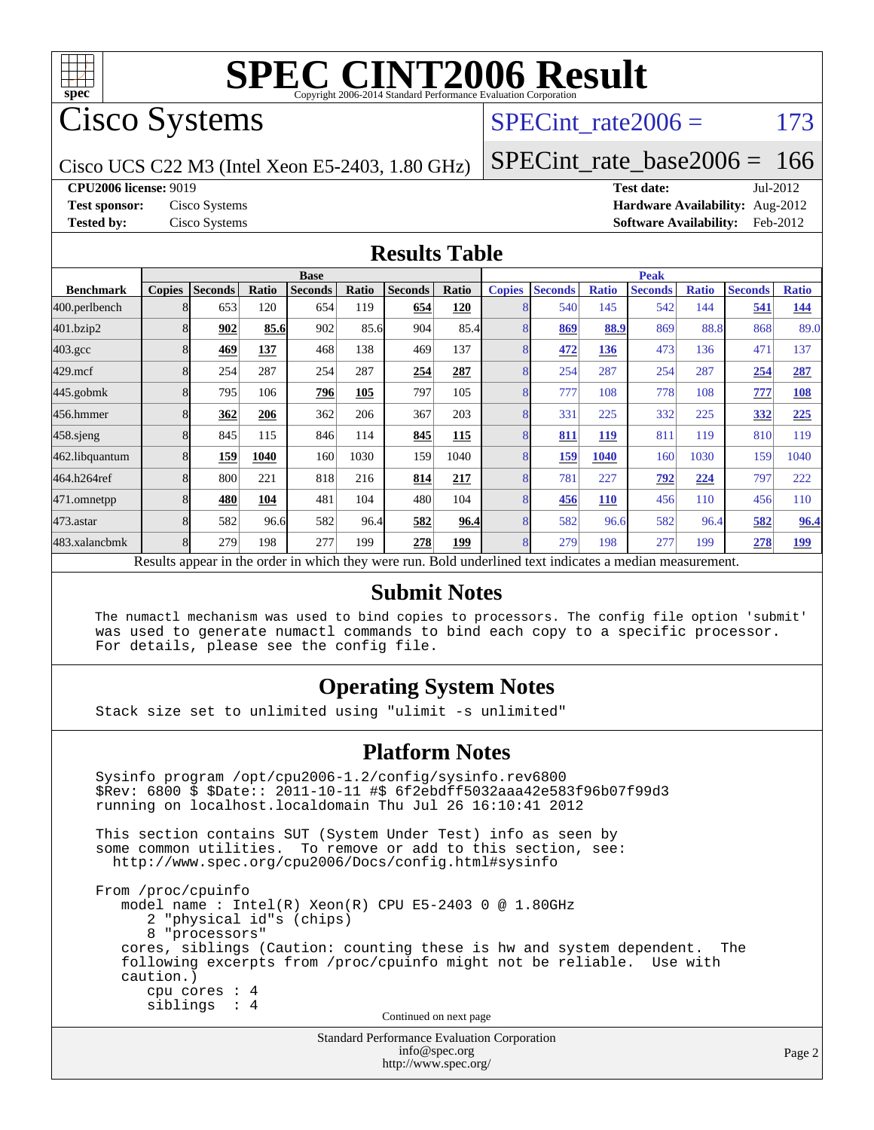

Cisco Systems

SPECint rate $2006 = 173$ 

Cisco UCS C22 M3 (Intel Xeon E5-2403, 1.80 GHz)

[SPECint\\_rate\\_base2006 =](http://www.spec.org/auto/cpu2006/Docs/result-fields.html#SPECintratebase2006) 166

**[CPU2006 license:](http://www.spec.org/auto/cpu2006/Docs/result-fields.html#CPU2006license)** 9019 **[Test date:](http://www.spec.org/auto/cpu2006/Docs/result-fields.html#Testdate)** Jul-2012

**[Test sponsor:](http://www.spec.org/auto/cpu2006/Docs/result-fields.html#Testsponsor)** Cisco Systems **[Hardware Availability:](http://www.spec.org/auto/cpu2006/Docs/result-fields.html#HardwareAvailability)** Aug-2012 **[Tested by:](http://www.spec.org/auto/cpu2006/Docs/result-fields.html#Testedby)** Cisco Systems **[Software Availability:](http://www.spec.org/auto/cpu2006/Docs/result-fields.html#SoftwareAvailability)** Feb-2012

#### **[Results Table](http://www.spec.org/auto/cpu2006/Docs/result-fields.html#ResultsTable)**

|                                                                                                          | <b>Base</b>   |                |       |                |       |                | <b>Peak</b> |               |                |              |                |              |                |              |
|----------------------------------------------------------------------------------------------------------|---------------|----------------|-------|----------------|-------|----------------|-------------|---------------|----------------|--------------|----------------|--------------|----------------|--------------|
| <b>Benchmark</b>                                                                                         | <b>Copies</b> | <b>Seconds</b> | Ratio | <b>Seconds</b> | Ratio | <b>Seconds</b> | Ratio       | <b>Copies</b> | <b>Seconds</b> | <b>Ratio</b> | <b>Seconds</b> | <b>Ratio</b> | <b>Seconds</b> | <b>Ratio</b> |
| 400.perlbench                                                                                            |               | 653            | 120   | 654            | 119   | 654            | 120         | 8             | 540            | 145          | 542            | 144          | 541            | 144          |
| 401.bzip2                                                                                                |               | 902            | 85.6  | 902            | 85.6  | 904            | 85.4        | 8             | 869            | 88.9         | 869            | 88.8         | 868            | 89.0         |
| $403.\mathrm{gcc}$                                                                                       |               | 469            | 137   | 468            | 138   | 469            | 137         | 8             | 472            | 136          | 473            | 136          | 471            | 137          |
| $429$ .mcf                                                                                               |               | 254            | 287   | 254            | 287   | 254            | 287         | 8             | 254            | 287          | 254            | 287          | 254            | 287          |
| $445$ .gobmk                                                                                             |               | 795            | 106   | 796            | 105   | 797            | 105         | 8             | 777            | 108          | 778            | 108          | 777            | <b>108</b>   |
| 456.hmmer                                                                                                |               | 362            | 206   | 362            | 206   | 367            | 203         | 8             | 331            | 225          | 332            | 225          | 332            | 225          |
| $458$ .sjeng                                                                                             |               | 845            | 115   | 846            | 114   | 845            | 115         | 8             | 811            | <u>119</u>   | 811            | 119          | 810            | 119          |
| 462.libquantum                                                                                           |               | 159            | 1040  | 160            | 1030  | 159            | 1040        | 8             | <u>159</u>     | 1040         | 160            | 1030         | 159            | 1040         |
| 464.h264ref                                                                                              |               | 800            | 221   | 818            | 216   | 814            | 217         | 8             | 781            | 227          | 792            | 224          | 797            | 222          |
| 471.omnetpp                                                                                              |               | 480            | 104   | 481            | 104   | 480            | 104         | 8             | 456            | <b>110</b>   | 456            | 110          | 456            | 110          |
| 473.astar                                                                                                |               | 582            | 96.6  | 582            | 96.4  | 582            | 96.4        | 8             | 582            | 96.6         | 582            | 96.4         | 582            | 96.4         |
| 483.xalancbmk                                                                                            |               | 279            | 198   | 277            | 199   | 278            | 199         | 8             | 279            | 198          | 277            | 199          | 278            | <u>199</u>   |
| Results appear in the order in which they were run. Bold underlined text indicates a median measurement. |               |                |       |                |       |                |             |               |                |              |                |              |                |              |

#### **[Submit Notes](http://www.spec.org/auto/cpu2006/Docs/result-fields.html#SubmitNotes)**

 The numactl mechanism was used to bind copies to processors. The config file option 'submit' was used to generate numactl commands to bind each copy to a specific processor. For details, please see the config file.

### **[Operating System Notes](http://www.spec.org/auto/cpu2006/Docs/result-fields.html#OperatingSystemNotes)**

Stack size set to unlimited using "ulimit -s unlimited"

#### **[Platform Notes](http://www.spec.org/auto/cpu2006/Docs/result-fields.html#PlatformNotes)**

Standard Performance Evaluation Corporation Sysinfo program /opt/cpu2006-1.2/config/sysinfo.rev6800 \$Rev: 6800 \$ \$Date:: 2011-10-11 #\$ 6f2ebdff5032aaa42e583f96b07f99d3 running on localhost.localdomain Thu Jul 26 16:10:41 2012 This section contains SUT (System Under Test) info as seen by some common utilities. To remove or add to this section, see: <http://www.spec.org/cpu2006/Docs/config.html#sysinfo> From /proc/cpuinfo model name : Intel(R) Xeon(R) CPU E5-2403 0 @ 1.80GHz 2 "physical id"s (chips) 8 "processors" cores, siblings (Caution: counting these is hw and system dependent. The following excerpts from /proc/cpuinfo might not be reliable. Use with caution.) cpu cores : 4 siblings : 4 Continued on next page

[info@spec.org](mailto:info@spec.org) <http://www.spec.org/>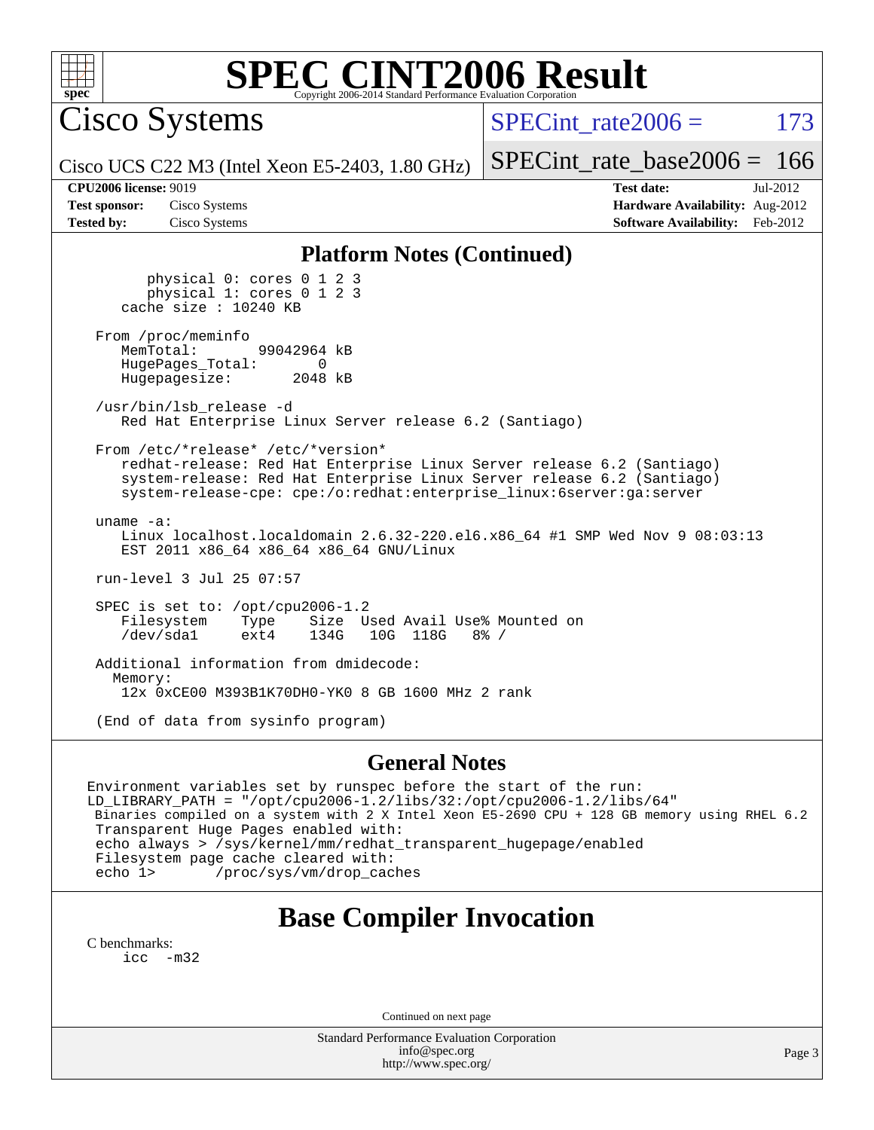

Cisco Systems

SPECint rate $2006 = 173$ 

Cisco UCS C22 M3 (Intel Xeon E5-2403, 1.80 GHz)

[SPECint\\_rate\\_base2006 =](http://www.spec.org/auto/cpu2006/Docs/result-fields.html#SPECintratebase2006) 166 **[CPU2006 license:](http://www.spec.org/auto/cpu2006/Docs/result-fields.html#CPU2006license)** 9019 **[Test date:](http://www.spec.org/auto/cpu2006/Docs/result-fields.html#Testdate)** Jul-2012

**[Test sponsor:](http://www.spec.org/auto/cpu2006/Docs/result-fields.html#Testsponsor)** Cisco Systems **[Hardware Availability:](http://www.spec.org/auto/cpu2006/Docs/result-fields.html#HardwareAvailability)** Aug-2012 **[Tested by:](http://www.spec.org/auto/cpu2006/Docs/result-fields.html#Testedby)** Cisco Systems **[Software Availability:](http://www.spec.org/auto/cpu2006/Docs/result-fields.html#SoftwareAvailability)** Feb-2012

#### **[Platform Notes \(Continued\)](http://www.spec.org/auto/cpu2006/Docs/result-fields.html#PlatformNotes)**

 physical 0: cores 0 1 2 3 physical 1: cores 0 1 2 3 cache size : 10240 KB

From /proc/meminfo<br>MemTotal: 99042964 kB HugePages\_Total: 0<br>Hugepagesize: 2048 kB Hugepagesize:

 /usr/bin/lsb\_release -d Red Hat Enterprise Linux Server release 6.2 (Santiago)

From /etc/\*release\* /etc/\*version\*

 redhat-release: Red Hat Enterprise Linux Server release 6.2 (Santiago) system-release: Red Hat Enterprise Linux Server release 6.2 (Santiago) system-release-cpe: cpe:/o:redhat:enterprise\_linux:6server:ga:server

 uname -a: Linux localhost.localdomain 2.6.32-220.el6.x86\_64 #1 SMP Wed Nov 9 08:03:13 EST 2011 x86\_64 x86\_64 x86\_64 GNU/Linux

run-level 3 Jul 25 07:57

 SPEC is set to: /opt/cpu2006-1.2 Filesystem Type Size Used Avail Use% Mounted on<br>
/dev/sdal ext4 134G 10G 118G 8% / 10G 118G

 Additional information from dmidecode: Memory: 12x 0xCE00 M393B1K70DH0-YK0 8 GB 1600 MHz 2 rank

(End of data from sysinfo program)

#### **[General Notes](http://www.spec.org/auto/cpu2006/Docs/result-fields.html#GeneralNotes)**

Environment variables set by runspec before the start of the run: LD\_LIBRARY\_PATH = "/opt/cpu2006-1.2/libs/32:/opt/cpu2006-1.2/libs/64" Binaries compiled on a system with 2 X Intel Xeon E5-2690 CPU + 128 GB memory using RHEL 6.2 Transparent Huge Pages enabled with: echo always > /sys/kernel/mm/redhat\_transparent\_hugepage/enabled Filesystem page cache cleared with: echo 1> /proc/sys/vm/drop\_caches

### **[Base Compiler Invocation](http://www.spec.org/auto/cpu2006/Docs/result-fields.html#BaseCompilerInvocation)**

[C benchmarks](http://www.spec.org/auto/cpu2006/Docs/result-fields.html#Cbenchmarks): [icc -m32](http://www.spec.org/cpu2006/results/res2012q3/cpu2006-20120823-24308.flags.html#user_CCbase_intel_icc_5ff4a39e364c98233615fdd38438c6f2)

Continued on next page

Standard Performance Evaluation Corporation [info@spec.org](mailto:info@spec.org) <http://www.spec.org/>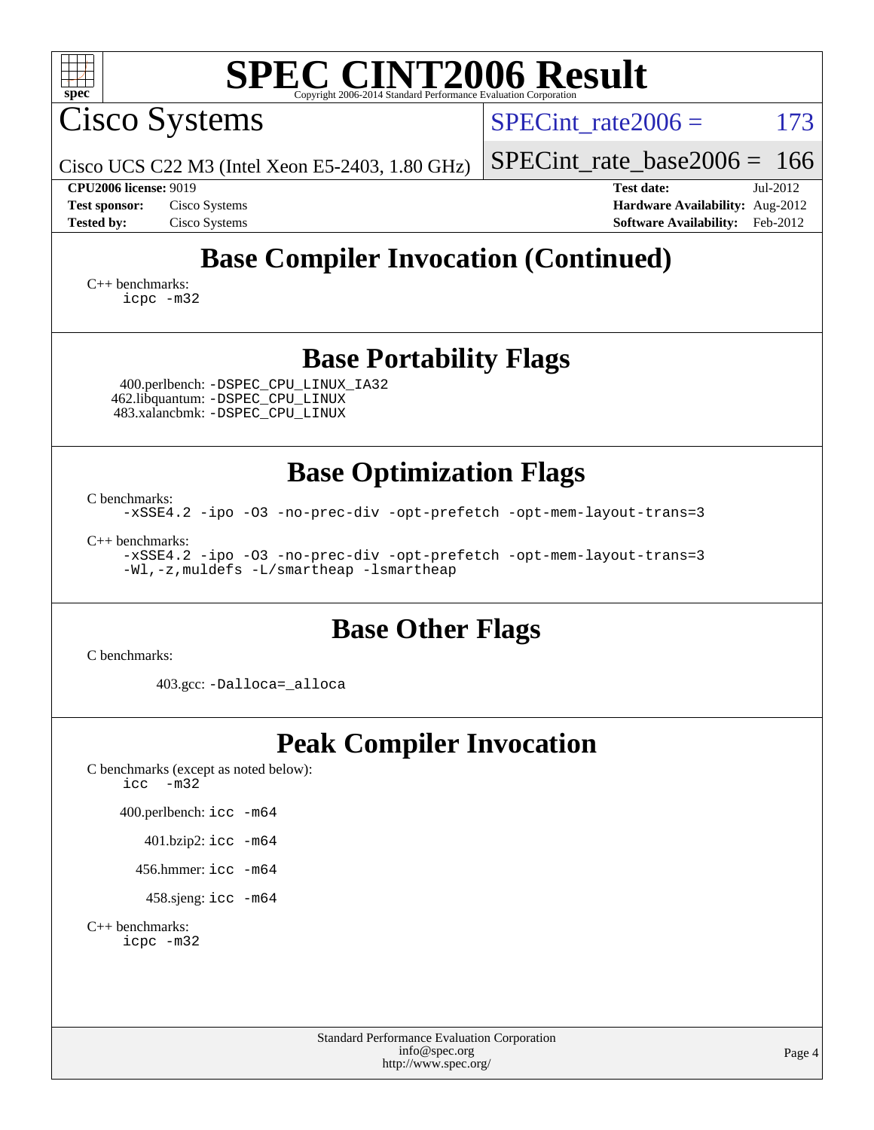| <b>SPEC CINT2006 Result</b><br>spec <sup>®</sup>                                                                                         |                                                                                  |  |  |  |  |  |  |
|------------------------------------------------------------------------------------------------------------------------------------------|----------------------------------------------------------------------------------|--|--|--|--|--|--|
| Cisco Systems                                                                                                                            | $SPECint rate 2006 =$<br>173                                                     |  |  |  |  |  |  |
| Cisco UCS C22 M3 (Intel Xeon E5-2403, 1.80 GHz)                                                                                          | $SPECint_rate_base2006 = 166$                                                    |  |  |  |  |  |  |
| <b>CPU2006 license: 9019</b><br><b>Test sponsor:</b><br>Cisco Systems                                                                    | <b>Test date:</b><br>Jul-2012                                                    |  |  |  |  |  |  |
| <b>Tested by:</b><br>Cisco Systems                                                                                                       | <b>Hardware Availability:</b> Aug-2012<br><b>Software Availability:</b> Feb-2012 |  |  |  |  |  |  |
| <b>Base Compiler Invocation (Continued)</b>                                                                                              |                                                                                  |  |  |  |  |  |  |
| $C_{++}$ benchmarks:<br>icpc -m32                                                                                                        |                                                                                  |  |  |  |  |  |  |
| <b>Base Portability Flags</b>                                                                                                            |                                                                                  |  |  |  |  |  |  |
| 400.perlbench: -DSPEC_CPU_LINUX_IA32<br>462.libquantum: -DSPEC_CPU_LINUX<br>483.xalancbmk: -DSPEC_CPU_LINUX                              |                                                                                  |  |  |  |  |  |  |
| <b>Base Optimization Flags</b><br>C benchmarks:                                                                                          |                                                                                  |  |  |  |  |  |  |
| -xSSE4.2 -ipo -03 -no-prec-div -opt-prefetch -opt-mem-layout-trans=3                                                                     |                                                                                  |  |  |  |  |  |  |
| $C_{++}$ benchmarks:<br>-xSSE4.2 -ipo -03 -no-prec-div -opt-prefetch -opt-mem-layout-trans=3<br>-Wl,-z, muldefs -L/smartheap -lsmartheap |                                                                                  |  |  |  |  |  |  |
| <b>Base Other Flags</b><br>C benchmarks:                                                                                                 |                                                                                  |  |  |  |  |  |  |
| 403.gcc: -Dalloca=_alloca                                                                                                                |                                                                                  |  |  |  |  |  |  |
| <b>Peak Compiler Invocation</b><br>C benchmarks (except as noted below):<br>$icc - m32$                                                  |                                                                                  |  |  |  |  |  |  |
| 400.perlbench: icc -m64                                                                                                                  |                                                                                  |  |  |  |  |  |  |
| 401.bzip2: icc -m64                                                                                                                      |                                                                                  |  |  |  |  |  |  |
| 456.hmmer: $\text{icc}$ -m64                                                                                                             |                                                                                  |  |  |  |  |  |  |
| 458.sjeng: icc -m64                                                                                                                      |                                                                                  |  |  |  |  |  |  |
| $C_{++}$ benchmarks:<br>icpc -m32                                                                                                        |                                                                                  |  |  |  |  |  |  |
| Standard Performance Evaluation Corporation                                                                                              |                                                                                  |  |  |  |  |  |  |
| info@spec.org<br>http://www.spec.org/                                                                                                    | Page 4                                                                           |  |  |  |  |  |  |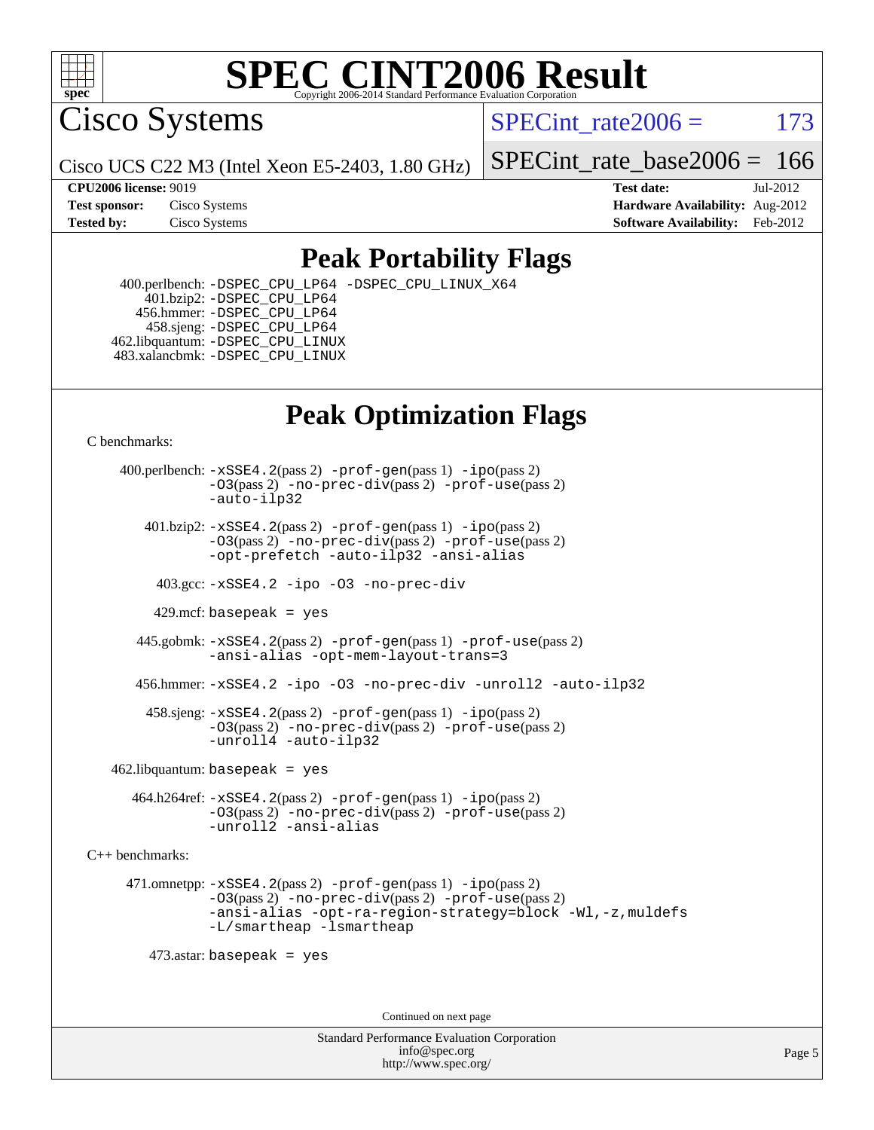

Cisco Systems

SPECint rate $2006 = 173$ 

Cisco UCS C22 M3 (Intel Xeon E5-2403, 1.80 GHz)

[SPECint\\_rate\\_base2006 =](http://www.spec.org/auto/cpu2006/Docs/result-fields.html#SPECintratebase2006)  $166$ 

**[CPU2006 license:](http://www.spec.org/auto/cpu2006/Docs/result-fields.html#CPU2006license)** 9019 **[Test date:](http://www.spec.org/auto/cpu2006/Docs/result-fields.html#Testdate)** Jul-2012 **[Test sponsor:](http://www.spec.org/auto/cpu2006/Docs/result-fields.html#Testsponsor)** Cisco Systems **[Hardware Availability:](http://www.spec.org/auto/cpu2006/Docs/result-fields.html#HardwareAvailability)** Aug-2012 **[Tested by:](http://www.spec.org/auto/cpu2006/Docs/result-fields.html#Testedby)** Cisco Systems **[Software Availability:](http://www.spec.org/auto/cpu2006/Docs/result-fields.html#SoftwareAvailability)** Feb-2012

### **[Peak Portability Flags](http://www.spec.org/auto/cpu2006/Docs/result-fields.html#PeakPortabilityFlags)**

 400.perlbench: [-DSPEC\\_CPU\\_LP64](http://www.spec.org/cpu2006/results/res2012q3/cpu2006-20120823-24308.flags.html#b400.perlbench_peakCPORTABILITY_DSPEC_CPU_LP64) [-DSPEC\\_CPU\\_LINUX\\_X64](http://www.spec.org/cpu2006/results/res2012q3/cpu2006-20120823-24308.flags.html#b400.perlbench_peakCPORTABILITY_DSPEC_CPU_LINUX_X64) 401.bzip2: [-DSPEC\\_CPU\\_LP64](http://www.spec.org/cpu2006/results/res2012q3/cpu2006-20120823-24308.flags.html#suite_peakCPORTABILITY401_bzip2_DSPEC_CPU_LP64) 456.hmmer: [-DSPEC\\_CPU\\_LP64](http://www.spec.org/cpu2006/results/res2012q3/cpu2006-20120823-24308.flags.html#suite_peakCPORTABILITY456_hmmer_DSPEC_CPU_LP64) 458.sjeng: [-DSPEC\\_CPU\\_LP64](http://www.spec.org/cpu2006/results/res2012q3/cpu2006-20120823-24308.flags.html#suite_peakCPORTABILITY458_sjeng_DSPEC_CPU_LP64) 462.libquantum: [-DSPEC\\_CPU\\_LINUX](http://www.spec.org/cpu2006/results/res2012q3/cpu2006-20120823-24308.flags.html#b462.libquantum_peakCPORTABILITY_DSPEC_CPU_LINUX) 483.xalancbmk: [-DSPEC\\_CPU\\_LINUX](http://www.spec.org/cpu2006/results/res2012q3/cpu2006-20120823-24308.flags.html#b483.xalancbmk_peakCXXPORTABILITY_DSPEC_CPU_LINUX)

## **[Peak Optimization Flags](http://www.spec.org/auto/cpu2006/Docs/result-fields.html#PeakOptimizationFlags)**

[C benchmarks](http://www.spec.org/auto/cpu2006/Docs/result-fields.html#Cbenchmarks):

 400.perlbench: [-xSSE4.2](http://www.spec.org/cpu2006/results/res2012q3/cpu2006-20120823-24308.flags.html#user_peakPASS2_CFLAGSPASS2_LDCFLAGS400_perlbench_f-xSSE42_f91528193cf0b216347adb8b939d4107)(pass 2) [-prof-gen](http://www.spec.org/cpu2006/results/res2012q3/cpu2006-20120823-24308.flags.html#user_peakPASS1_CFLAGSPASS1_LDCFLAGS400_perlbench_prof_gen_e43856698f6ca7b7e442dfd80e94a8fc)(pass 1) [-ipo](http://www.spec.org/cpu2006/results/res2012q3/cpu2006-20120823-24308.flags.html#user_peakPASS2_CFLAGSPASS2_LDCFLAGS400_perlbench_f-ipo)(pass 2) [-O3](http://www.spec.org/cpu2006/results/res2012q3/cpu2006-20120823-24308.flags.html#user_peakPASS2_CFLAGSPASS2_LDCFLAGS400_perlbench_f-O3)(pass 2) [-no-prec-div](http://www.spec.org/cpu2006/results/res2012q3/cpu2006-20120823-24308.flags.html#user_peakPASS2_CFLAGSPASS2_LDCFLAGS400_perlbench_f-no-prec-div)(pass 2) [-prof-use](http://www.spec.org/cpu2006/results/res2012q3/cpu2006-20120823-24308.flags.html#user_peakPASS2_CFLAGSPASS2_LDCFLAGS400_perlbench_prof_use_bccf7792157ff70d64e32fe3e1250b55)(pass 2) [-auto-ilp32](http://www.spec.org/cpu2006/results/res2012q3/cpu2006-20120823-24308.flags.html#user_peakCOPTIMIZE400_perlbench_f-auto-ilp32)  $401.bzip2: -xSSE4.2(pass 2) -prof-qen(pass 1) -ipo(pass 2)$  $401.bzip2: -xSSE4.2(pass 2) -prof-qen(pass 1) -ipo(pass 2)$  $401.bzip2: -xSSE4.2(pass 2) -prof-qen(pass 1) -ipo(pass 2)$  $401.bzip2: -xSSE4.2(pass 2) -prof-qen(pass 1) -ipo(pass 2)$  $401.bzip2: -xSSE4.2(pass 2) -prof-qen(pass 1) -ipo(pass 2)$ [-O3](http://www.spec.org/cpu2006/results/res2012q3/cpu2006-20120823-24308.flags.html#user_peakPASS2_CFLAGSPASS2_LDCFLAGS401_bzip2_f-O3)(pass 2) [-no-prec-div](http://www.spec.org/cpu2006/results/res2012q3/cpu2006-20120823-24308.flags.html#user_peakPASS2_CFLAGSPASS2_LDCFLAGS401_bzip2_f-no-prec-div)(pass 2) [-prof-use](http://www.spec.org/cpu2006/results/res2012q3/cpu2006-20120823-24308.flags.html#user_peakPASS2_CFLAGSPASS2_LDCFLAGS401_bzip2_prof_use_bccf7792157ff70d64e32fe3e1250b55)(pass 2) [-opt-prefetch](http://www.spec.org/cpu2006/results/res2012q3/cpu2006-20120823-24308.flags.html#user_peakCOPTIMIZE401_bzip2_f-opt-prefetch) [-auto-ilp32](http://www.spec.org/cpu2006/results/res2012q3/cpu2006-20120823-24308.flags.html#user_peakCOPTIMIZE401_bzip2_f-auto-ilp32) [-ansi-alias](http://www.spec.org/cpu2006/results/res2012q3/cpu2006-20120823-24308.flags.html#user_peakCOPTIMIZE401_bzip2_f-ansi-alias) 403.gcc: [-xSSE4.2](http://www.spec.org/cpu2006/results/res2012q3/cpu2006-20120823-24308.flags.html#user_peakCOPTIMIZE403_gcc_f-xSSE42_f91528193cf0b216347adb8b939d4107) [-ipo](http://www.spec.org/cpu2006/results/res2012q3/cpu2006-20120823-24308.flags.html#user_peakCOPTIMIZE403_gcc_f-ipo) [-O3](http://www.spec.org/cpu2006/results/res2012q3/cpu2006-20120823-24308.flags.html#user_peakCOPTIMIZE403_gcc_f-O3) [-no-prec-div](http://www.spec.org/cpu2006/results/res2012q3/cpu2006-20120823-24308.flags.html#user_peakCOPTIMIZE403_gcc_f-no-prec-div) 429.mcf: basepeak = yes 445.gobmk: [-xSSE4.2](http://www.spec.org/cpu2006/results/res2012q3/cpu2006-20120823-24308.flags.html#user_peakPASS2_CFLAGSPASS2_LDCFLAGS445_gobmk_f-xSSE42_f91528193cf0b216347adb8b939d4107)(pass 2) [-prof-gen](http://www.spec.org/cpu2006/results/res2012q3/cpu2006-20120823-24308.flags.html#user_peakPASS1_CFLAGSPASS1_LDCFLAGS445_gobmk_prof_gen_e43856698f6ca7b7e442dfd80e94a8fc)(pass 1) [-prof-use](http://www.spec.org/cpu2006/results/res2012q3/cpu2006-20120823-24308.flags.html#user_peakPASS2_CFLAGSPASS2_LDCFLAGS445_gobmk_prof_use_bccf7792157ff70d64e32fe3e1250b55)(pass 2) [-ansi-alias](http://www.spec.org/cpu2006/results/res2012q3/cpu2006-20120823-24308.flags.html#user_peakCOPTIMIZE445_gobmk_f-ansi-alias) [-opt-mem-layout-trans=3](http://www.spec.org/cpu2006/results/res2012q3/cpu2006-20120823-24308.flags.html#user_peakCOPTIMIZE445_gobmk_f-opt-mem-layout-trans_a7b82ad4bd7abf52556d4961a2ae94d5) 456.hmmer: [-xSSE4.2](http://www.spec.org/cpu2006/results/res2012q3/cpu2006-20120823-24308.flags.html#user_peakCOPTIMIZE456_hmmer_f-xSSE42_f91528193cf0b216347adb8b939d4107) [-ipo](http://www.spec.org/cpu2006/results/res2012q3/cpu2006-20120823-24308.flags.html#user_peakCOPTIMIZE456_hmmer_f-ipo) [-O3](http://www.spec.org/cpu2006/results/res2012q3/cpu2006-20120823-24308.flags.html#user_peakCOPTIMIZE456_hmmer_f-O3) [-no-prec-div](http://www.spec.org/cpu2006/results/res2012q3/cpu2006-20120823-24308.flags.html#user_peakCOPTIMIZE456_hmmer_f-no-prec-div) [-unroll2](http://www.spec.org/cpu2006/results/res2012q3/cpu2006-20120823-24308.flags.html#user_peakCOPTIMIZE456_hmmer_f-unroll_784dae83bebfb236979b41d2422d7ec2) [-auto-ilp32](http://www.spec.org/cpu2006/results/res2012q3/cpu2006-20120823-24308.flags.html#user_peakCOPTIMIZE456_hmmer_f-auto-ilp32) 458.sjeng: [-xSSE4.2](http://www.spec.org/cpu2006/results/res2012q3/cpu2006-20120823-24308.flags.html#user_peakPASS2_CFLAGSPASS2_LDCFLAGS458_sjeng_f-xSSE42_f91528193cf0b216347adb8b939d4107)(pass 2) [-prof-gen](http://www.spec.org/cpu2006/results/res2012q3/cpu2006-20120823-24308.flags.html#user_peakPASS1_CFLAGSPASS1_LDCFLAGS458_sjeng_prof_gen_e43856698f6ca7b7e442dfd80e94a8fc)(pass 1) [-ipo](http://www.spec.org/cpu2006/results/res2012q3/cpu2006-20120823-24308.flags.html#user_peakPASS2_CFLAGSPASS2_LDCFLAGS458_sjeng_f-ipo)(pass 2) [-O3](http://www.spec.org/cpu2006/results/res2012q3/cpu2006-20120823-24308.flags.html#user_peakPASS2_CFLAGSPASS2_LDCFLAGS458_sjeng_f-O3)(pass 2) [-no-prec-div](http://www.spec.org/cpu2006/results/res2012q3/cpu2006-20120823-24308.flags.html#user_peakPASS2_CFLAGSPASS2_LDCFLAGS458_sjeng_f-no-prec-div)(pass 2) [-prof-use](http://www.spec.org/cpu2006/results/res2012q3/cpu2006-20120823-24308.flags.html#user_peakPASS2_CFLAGSPASS2_LDCFLAGS458_sjeng_prof_use_bccf7792157ff70d64e32fe3e1250b55)(pass 2) [-unroll4](http://www.spec.org/cpu2006/results/res2012q3/cpu2006-20120823-24308.flags.html#user_peakCOPTIMIZE458_sjeng_f-unroll_4e5e4ed65b7fd20bdcd365bec371b81f) [-auto-ilp32](http://www.spec.org/cpu2006/results/res2012q3/cpu2006-20120823-24308.flags.html#user_peakCOPTIMIZE458_sjeng_f-auto-ilp32)  $462$ .libquantum: basepeak = yes 464.h264ref: [-xSSE4.2](http://www.spec.org/cpu2006/results/res2012q3/cpu2006-20120823-24308.flags.html#user_peakPASS2_CFLAGSPASS2_LDCFLAGS464_h264ref_f-xSSE42_f91528193cf0b216347adb8b939d4107)(pass 2) [-prof-gen](http://www.spec.org/cpu2006/results/res2012q3/cpu2006-20120823-24308.flags.html#user_peakPASS1_CFLAGSPASS1_LDCFLAGS464_h264ref_prof_gen_e43856698f6ca7b7e442dfd80e94a8fc)(pass 1) [-ipo](http://www.spec.org/cpu2006/results/res2012q3/cpu2006-20120823-24308.flags.html#user_peakPASS2_CFLAGSPASS2_LDCFLAGS464_h264ref_f-ipo)(pass 2) [-O3](http://www.spec.org/cpu2006/results/res2012q3/cpu2006-20120823-24308.flags.html#user_peakPASS2_CFLAGSPASS2_LDCFLAGS464_h264ref_f-O3)(pass 2) [-no-prec-div](http://www.spec.org/cpu2006/results/res2012q3/cpu2006-20120823-24308.flags.html#user_peakPASS2_CFLAGSPASS2_LDCFLAGS464_h264ref_f-no-prec-div)(pass 2) [-prof-use](http://www.spec.org/cpu2006/results/res2012q3/cpu2006-20120823-24308.flags.html#user_peakPASS2_CFLAGSPASS2_LDCFLAGS464_h264ref_prof_use_bccf7792157ff70d64e32fe3e1250b55)(pass 2) [-unroll2](http://www.spec.org/cpu2006/results/res2012q3/cpu2006-20120823-24308.flags.html#user_peakCOPTIMIZE464_h264ref_f-unroll_784dae83bebfb236979b41d2422d7ec2) [-ansi-alias](http://www.spec.org/cpu2006/results/res2012q3/cpu2006-20120823-24308.flags.html#user_peakCOPTIMIZE464_h264ref_f-ansi-alias) [C++ benchmarks:](http://www.spec.org/auto/cpu2006/Docs/result-fields.html#CXXbenchmarks) 471.omnetpp: [-xSSE4.2](http://www.spec.org/cpu2006/results/res2012q3/cpu2006-20120823-24308.flags.html#user_peakPASS2_CXXFLAGSPASS2_LDCXXFLAGS471_omnetpp_f-xSSE42_f91528193cf0b216347adb8b939d4107)(pass 2) [-prof-gen](http://www.spec.org/cpu2006/results/res2012q3/cpu2006-20120823-24308.flags.html#user_peakPASS1_CXXFLAGSPASS1_LDCXXFLAGS471_omnetpp_prof_gen_e43856698f6ca7b7e442dfd80e94a8fc)(pass 1) [-ipo](http://www.spec.org/cpu2006/results/res2012q3/cpu2006-20120823-24308.flags.html#user_peakPASS2_CXXFLAGSPASS2_LDCXXFLAGS471_omnetpp_f-ipo)(pass 2) [-O3](http://www.spec.org/cpu2006/results/res2012q3/cpu2006-20120823-24308.flags.html#user_peakPASS2_CXXFLAGSPASS2_LDCXXFLAGS471_omnetpp_f-O3)(pass 2) [-no-prec-div](http://www.spec.org/cpu2006/results/res2012q3/cpu2006-20120823-24308.flags.html#user_peakPASS2_CXXFLAGSPASS2_LDCXXFLAGS471_omnetpp_f-no-prec-div)(pass 2) [-prof-use](http://www.spec.org/cpu2006/results/res2012q3/cpu2006-20120823-24308.flags.html#user_peakPASS2_CXXFLAGSPASS2_LDCXXFLAGS471_omnetpp_prof_use_bccf7792157ff70d64e32fe3e1250b55)(pass 2) [-ansi-alias](http://www.spec.org/cpu2006/results/res2012q3/cpu2006-20120823-24308.flags.html#user_peakCXXOPTIMIZE471_omnetpp_f-ansi-alias) [-opt-ra-region-strategy=block](http://www.spec.org/cpu2006/results/res2012q3/cpu2006-20120823-24308.flags.html#user_peakCXXOPTIMIZE471_omnetpp_f-opt-ra-region-strategy_a0a37c372d03933b2a18d4af463c1f69) [-Wl,-z,muldefs](http://www.spec.org/cpu2006/results/res2012q3/cpu2006-20120823-24308.flags.html#user_peakEXTRA_LDFLAGS471_omnetpp_link_force_multiple1_74079c344b956b9658436fd1b6dd3a8a) [-L/smartheap -lsmartheap](http://www.spec.org/cpu2006/results/res2012q3/cpu2006-20120823-24308.flags.html#user_peakEXTRA_LIBS471_omnetpp_SmartHeap_7c9e394a5779e1a7fec7c221e123830c) 473.astar: basepeak = yes Continued on next page

> Standard Performance Evaluation Corporation [info@spec.org](mailto:info@spec.org) <http://www.spec.org/>